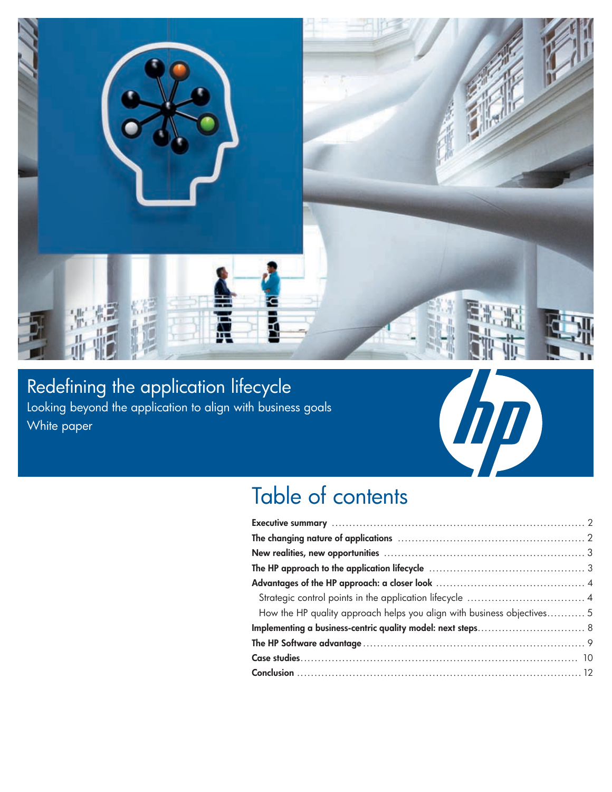

Redefining the application lifecycle Looking beyond the application to align with business goals White paper



## Table of contents

| How the HP quality approach helps you align with business objectives 5 |  |  |
|------------------------------------------------------------------------|--|--|
|                                                                        |  |  |
|                                                                        |  |  |
|                                                                        |  |  |
|                                                                        |  |  |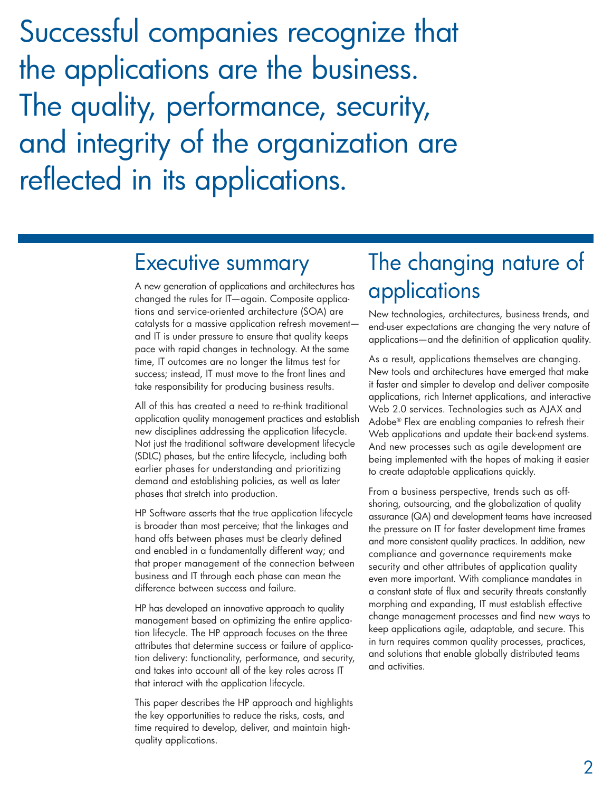Successful companies recognize that the applications are the business. The quality, performance, security, and integrity of the organization are reflected in its applications.

### Executive summary

A new generation of applications and architectures has changed the rules for IT—again. Composite applications and service-oriented architecture (SOA) are catalysts for a massive application refresh movement and IT is under pressure to ensure that quality keeps pace with rapid changes in technology. At the same time, IT outcomes are no longer the litmus test for success; instead, IT must move to the front lines and take responsibility for producing business results.

All of this has created a need to re-think traditional application quality management practices and establish new disciplines addressing the application lifecycle. Not just the traditional software development lifecycle (SDLC) phases, but the entire lifecycle, including both earlier phases for understanding and prioritizing demand and establishing policies, as well as later phases that stretch into production.

HP Software asserts that the true application lifecycle is broader than most perceive; that the linkages and hand offs between phases must be clearly defined and enabled in a fundamentally different way; and that proper management of the connection between business and IT through each phase can mean the difference between success and failure.

HP has developed an innovative approach to quality management based on optimizing the entire application lifecycle. The HP approach focuses on the three attributes that determine success or failure of application delivery: functionality, performance, and security, and takes into account all of the key roles across IT that interact with the application lifecycle.

This paper describes the HP approach and highlights the key opportunities to reduce the risks, costs, and time required to develop, deliver, and maintain highquality applications.

## The changing nature of applications

New technologies, architectures, business trends, and end-user expectations are changing the very nature of applications—and the definition of application quality.

As a result, applications themselves are changing. New tools and architectures have emerged that make it faster and simpler to develop and deliver composite applications, rich Internet applications, and interactive Web 2.0 services. Technologies such as AJAX and Adobe® Flex are enabling companies to refresh their Web applications and update their back-end systems. And new processes such as agile development are being implemented with the hopes of making it easier to create adaptable applications quickly.

From a business perspective, trends such as offshoring, outsourcing, and the globalization of quality assurance (QA) and development teams have increased the pressure on IT for faster development time frames and more consistent quality practices. In addition, new compliance and governance requirements make security and other attributes of application quality even more important. With compliance mandates in a constant state of flux and security threats constantly morphing and expanding, IT must establish effective change management processes and find new ways to keep applications agile, adaptable, and secure. This in turn requires common quality processes, practices, and solutions that enable globally distributed teams and activities.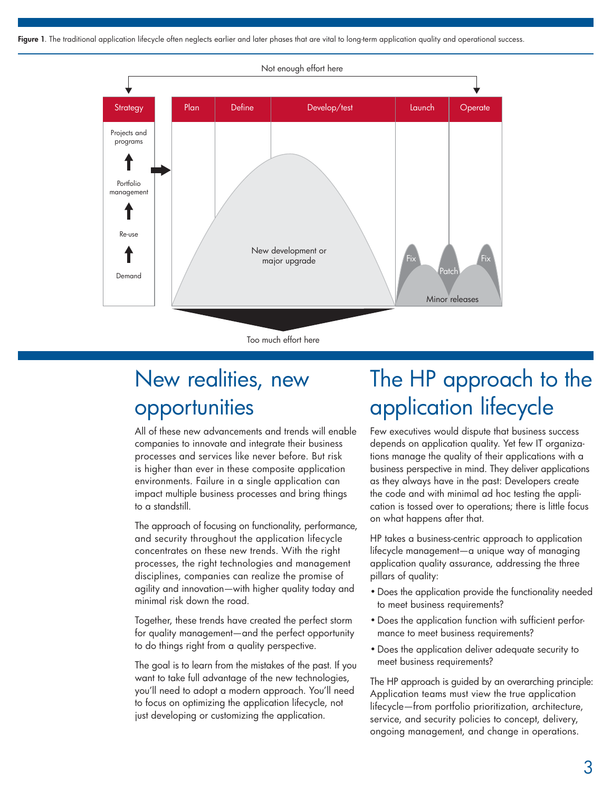Figure 1. The traditional application lifecycle often neglects earlier and later phases that are vital to long-term application quality and operational success.



Too much effort here

## New realities, new opportunities

All of these new advancements and trends will enable companies to innovate and integrate their business processes and services like never before. But risk is higher than ever in these composite application environments. Failure in a single application can impact multiple business processes and bring things to a standstill.

The approach of focusing on functionality, performance, and security throughout the application lifecycle concentrates on these new trends. With the right processes, the right technologies and management disciplines, companies can realize the promise of agility and innovation—with higher quality today and minimal risk down the road.

Together, these trends have created the perfect storm for quality management—and the perfect opportunity to do things right from a quality perspective.

The goal is to learn from the mistakes of the past. If you want to take full advantage of the new technologies, you'll need to adopt a modern approach. You'll need to focus on optimizing the application lifecycle, not just developing or customizing the application.

## The HP approach to the application lifecycle

Few executives would dispute that business success depends on application quality. Yet few IT organizations manage the quality of their applications with a business perspective in mind. They deliver applications as they always have in the past: Developers create the code and with minimal ad hoc testing the application is tossed over to operations; there is little focus on what happens after that.

HP takes a business-centric approach to application lifecycle management—a unique way of managing application quality assurance, addressing the three pillars of quality:

- Does the application provide the functionality needed to meet business requirements?
- Does the application function with sufficient performance to meet business requirements?
- • Does the application deliver adequate security to meet business requirements?

The HP approach is guided by an overarching principle: Application teams must view the true application lifecycle—from portfolio prioritization, architecture, service, and security policies to concept, delivery, ongoing management, and change in operations.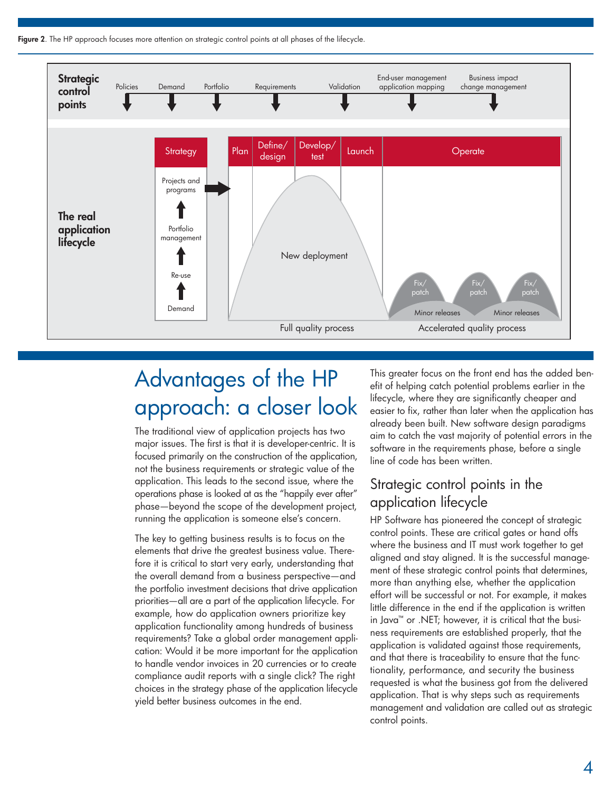Figure 2. The HP approach focuses more attention on strategic control points at all phases of the lifecycle.



# Advantages of the HP approach: a closer look

The traditional view of application projects has two major issues. The first is that it is developer-centric. It is focused primarily on the construction of the application, not the business requirements or strategic value of the application. This leads to the second issue, where the operations phase is looked at as the "happily ever after" phase—beyond the scope of the development project, running the application is someone else's concern.

The key to getting business results is to focus on the elements that drive the greatest business value. Therefore it is critical to start very early, understanding that the overall demand from a business perspective—and the portfolio investment decisions that drive application priorities—all are a part of the application lifecycle. For example, how do application owners prioritize key application functionality among hundreds of business requirements? Take a global order management application: Would it be more important for the application to handle vendor invoices in 20 currencies or to create compliance audit reports with a single click? The right choices in the strategy phase of the application lifecycle yield better business outcomes in the end.

This greater focus on the front end has the added benefit of helping catch potential problems earlier in the lifecycle, where they are significantly cheaper and easier to fix, rather than later when the application has already been built. New software design paradigms aim to catch the vast majority of potential errors in the software in the requirements phase, before a single line of code has been written.

### Strategic control points in the application lifecycle

HP Software has pioneered the concept of strategic control points. These are critical gates or hand offs where the business and IT must work together to get aligned and stay aligned. It is the successful management of these strategic control points that determines, more than anything else, whether the application effort will be successful or not. For example, it makes little difference in the end if the application is written in Java™ or .NET; however, it is critical that the business requirements are established properly, that the application is validated against those requirements, and that there is traceability to ensure that the functionality, performance, and security the business requested is what the business got from the delivered application. That is why steps such as requirements management and validation are called out as strategic control points.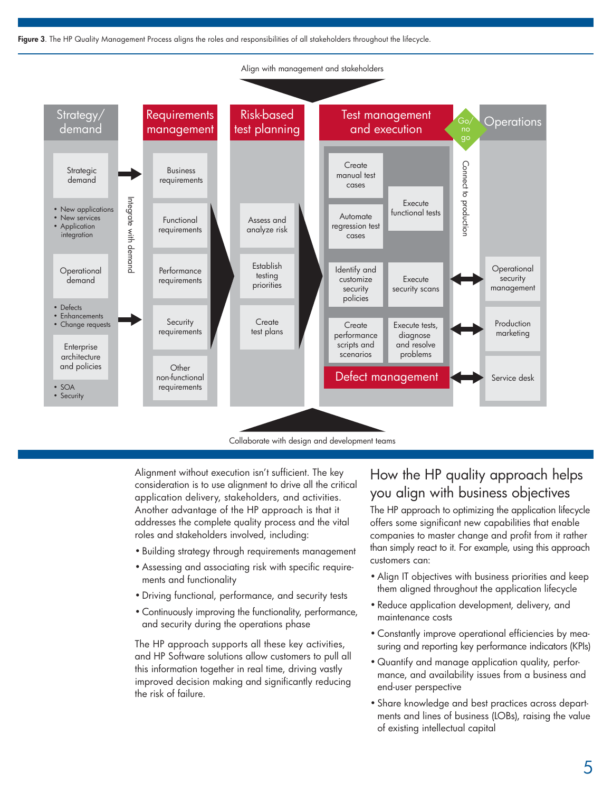Figure 3. The HP Quality Management Process aligns the roles and responsibilities of all stakeholders throughout the lifecycle.



Collaborate with design and development teams

Alignment without execution isn't sufficient. The key consideration is to use alignment to drive all the critical application delivery, stakeholders, and activities. Another advantage of the HP approach is that it addresses the complete quality process and the vital roles and stakeholders involved, including:

- • Building strategy through requirements management
- Assessing and associating risk with specific requirements and functionality
- • Driving functional, performance, and security tests
- • Continuously improving the functionality, performance, and security during the operations phase

The HP approach supports all these key activities, and HP Software solutions allow customers to pull all this information together in real time, driving vastly improved decision making and significantly reducing the risk of failure.

### How the HP quality approach helps you align with business objectives

The HP approach to optimizing the application lifecycle offers some significant new capabilities that enable companies to master change and profit from it rather than simply react to it. For example, using this approach customers can:

- Align IT objectives with business priorities and keep them aligned throughout the application lifecycle
- • Reduce application development, delivery, and maintenance costs
- Constantly improve operational efficiencies by measuring and reporting key performance indicators (KPIs)
- • Quantify and manage application quality, performance, and availability issues from a business and end-user perspective
- • Share knowledge and best practices across departments and lines of business (LOBs), raising the value of existing intellectual capital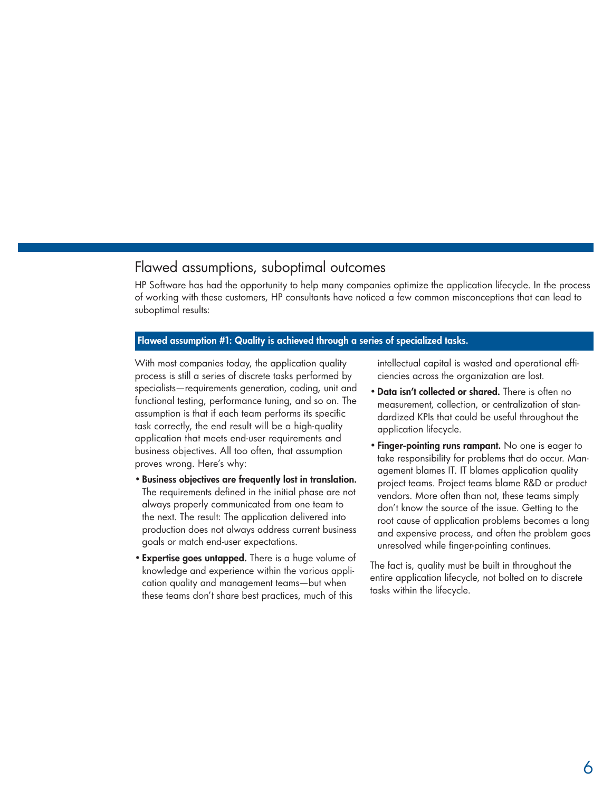### Flawed assumptions, suboptimal outcomes

HP Software has had the opportunity to help many companies optimize the application lifecycle. In the process of working with these customers, HP consultants have noticed a few common misconceptions that can lead to suboptimal results:

#### Flawed assumption #1: Quality is achieved through a series of specialized tasks.

With most companies today, the application quality process is still a series of discrete tasks performed by specialists—requirements generation, coding, unit and functional testing, performance tuning, and so on. The assumption is that if each team performs its specific task correctly, the end result will be a high-quality application that meets end-user requirements and business objectives. All too often, that assumption proves wrong. Here's why:

- • Business objectives are frequently lost in translation. The requirements defined in the initial phase are not always properly communicated from one team to the next. The result: The application delivered into production does not always address current business goals or match end-user expectations.
- Expertise goes untapped. There is a huge volume of knowledge and experience within the various application quality and management teams—but when these teams don't share best practices, much of this

intellectual capital is wasted and operational efficiencies across the organization are lost.

- Data isn't collected or shared. There is often no measurement, collection, or centralization of standardized KPIs that could be useful throughout the application lifecycle.
- Finger-pointing runs rampant. No one is eager to take responsibility for problems that do occur. Management blames IT. IT blames application quality project teams. Project teams blame R&D or product vendors. More often than not, these teams simply don't know the source of the issue. Getting to the root cause of application problems becomes a long and expensive process, and often the problem goes unresolved while finger-pointing continues.

The fact is, quality must be built in throughout the entire application lifecycle, not bolted on to discrete tasks within the lifecycle.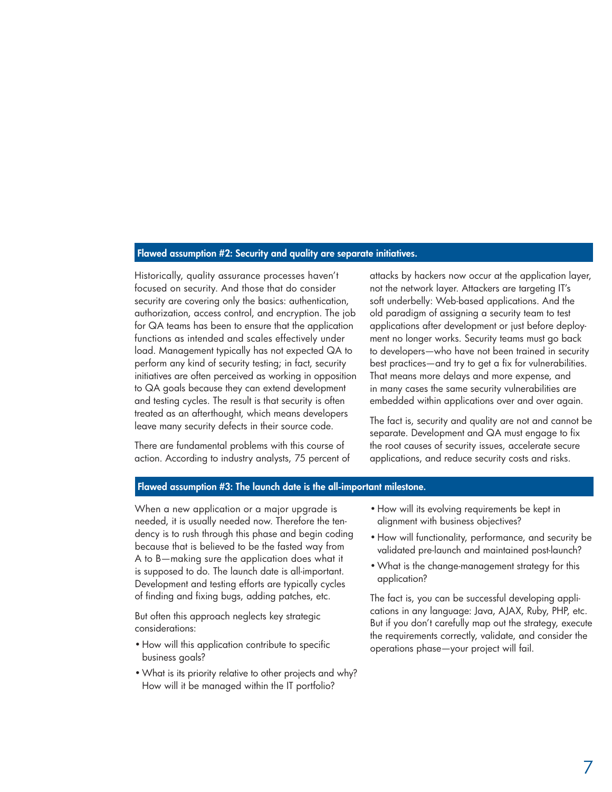#### Flawed assumption #2: Security and quality are separate initiatives.

Historically, quality assurance processes haven't focused on security. And those that do consider security are covering only the basics: authentication, authorization, access control, and encryption. The job for QA teams has been to ensure that the application functions as intended and scales effectively under load. Management typically has not expected QA to perform any kind of security testing; in fact, security initiatives are often perceived as working in opposition to QA goals because they can extend development and testing cycles. The result is that security is often treated as an afterthought, which means developers leave many security defects in their source code.

There are fundamental problems with this course of action. According to industry analysts, 75 percent of attacks by hackers now occur at the application layer, not the network layer. Attackers are targeting IT's soft underbelly: Web-based applications. And the old paradigm of assigning a security team to test applications after development or just before deployment no longer works. Security teams must go back to developers—who have not been trained in security best practices—and try to get a fix for vulnerabilities. That means more delays and more expense, and in many cases the same security vulnerabilities are embedded within applications over and over again.

The fact is, security and quality are not and cannot be separate. Development and QA must engage to fix the root causes of security issues, accelerate secure applications, and reduce security costs and risks.

#### Flawed assumption #3: The launch date is the all-important milestone.

When a new application or a major upgrade is needed, it is usually needed now. Therefore the tendency is to rush through this phase and begin coding because that is believed to be the fasted way from A to B—making sure the application does what it is supposed to do. The launch date is all-important. Development and testing efforts are typically cycles of finding and fixing bugs, adding patches, etc.

But often this approach neglects key strategic considerations:

- How will this application contribute to specific business goals?
- What is its priority relative to other projects and why? How will it be managed within the IT portfolio?
- How will its evolving requirements be kept in alignment with business objectives?
- • How will functionality, performance, and security be validated pre-launch and maintained post-launch?
- • What is the change-management strategy for this application?

The fact is, you can be successful developing applications in any language: Java, AJAX, Ruby, PHP, etc. But if you don't carefully map out the strategy, execute the requirements correctly, validate, and consider the operations phase—your project will fail.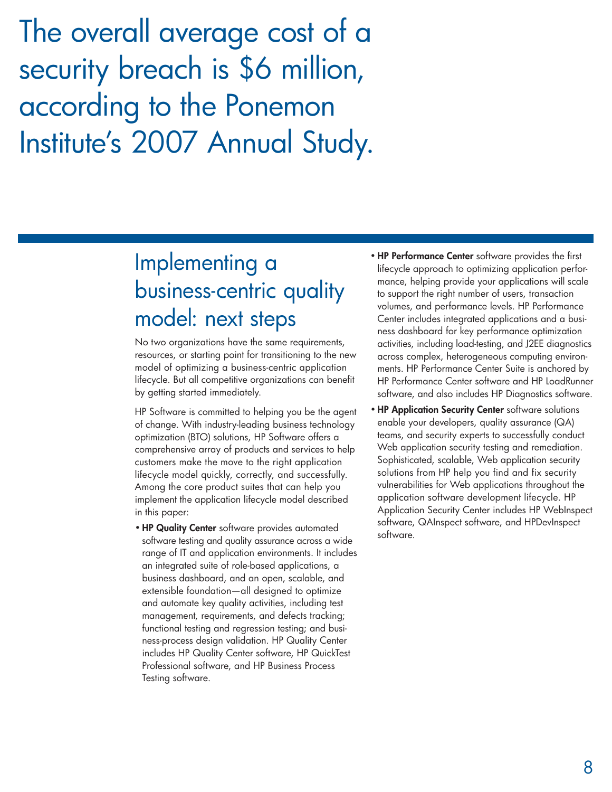The overall average cost of a security breach is \$6 million, according to the Ponemon Institute's 2007 Annual Study.

## Implementing a business-centric quality model: next steps

No two organizations have the same requirements, resources, or starting point for transitioning to the new model of optimizing a business-centric application lifecycle. But all competitive organizations can benefit by getting started immediately.

HP Software is committed to helping you be the agent of change. With industry-leading business technology optimization (BTO) solutions, HP Software offers a comprehensive array of products and services to help customers make the move to the right application lifecycle model quickly, correctly, and successfully. Among the core product suites that can help you implement the application lifecycle model described in this paper:

• HP Quality Center software provides automated software testing and quality assurance across a wide range of IT and application environments. It includes an integrated suite of role-based applications, a business dashboard, and an open, scalable, and extensible foundation—all designed to optimize and automate key quality activities, including test management, requirements, and defects tracking; functional testing and regression testing; and business-process design validation. HP Quality Center includes HP Quality Center software, HP QuickTest Professional software, and HP Business Process Testing software.

- HP Performance Center software provides the first lifecycle approach to optimizing application performance, helping provide your applications will scale to support the right number of users, transaction volumes, and performance levels. HP Performance Center includes integrated applications and a business dashboard for key performance optimization activities, including load-testing, and J2EE diagnostics across complex, heterogeneous computing environments. HP Performance Center Suite is anchored by HP Performance Center software and HP LoadRunner software, and also includes HP Diagnostics software.
- HP Application Security Center software solutions enable your developers, quality assurance (QA) teams, and security experts to successfully conduct Web application security testing and remediation. Sophisticated, scalable, Web application security solutions from HP help you find and fix security vulnerabilities for Web applications throughout the application software development lifecycle. HP Application Security Center includes HP WebInspect software, QAInspect software, and HPDevInspect software.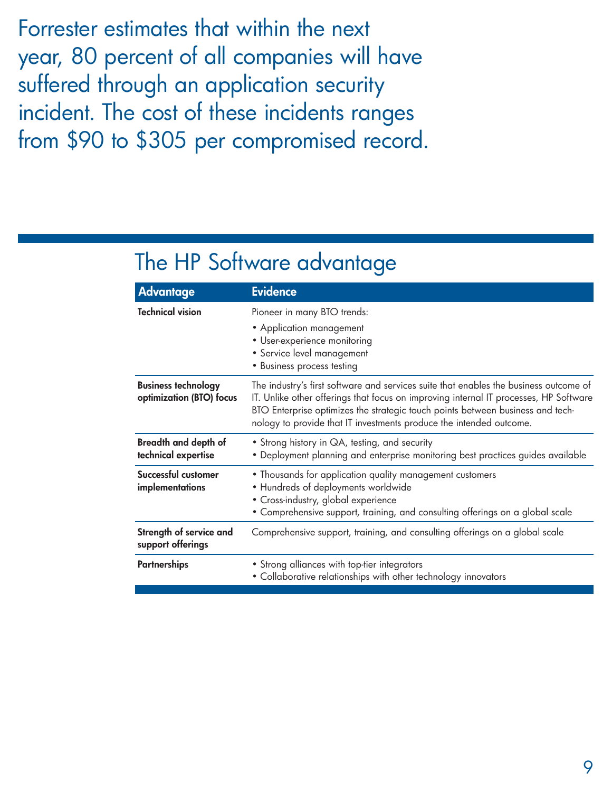Forrester estimates that within the next year, 80 percent of all companies will have suffered through an application security incident. The cost of these incidents ranges from \$90 to \$305 per compromised record.

## The HP Software advantage

| <b>Advantage</b>                                       | <b>Evidence</b>                                                                                                                                                                                                                                                                                                                         |
|--------------------------------------------------------|-----------------------------------------------------------------------------------------------------------------------------------------------------------------------------------------------------------------------------------------------------------------------------------------------------------------------------------------|
| <b>Technical vision</b>                                | Pioneer in many BTO trends:<br>• Application management<br>• User-experience monitoring<br>· Service level management<br>· Business process testing                                                                                                                                                                                     |
| <b>Business technology</b><br>optimization (BTO) focus | The industry's first software and services suite that enables the business outcome of<br>IT. Unlike other offerings that focus on improving internal IT processes, HP Software<br>BTO Enterprise optimizes the strategic touch points between business and tech-<br>nology to provide that IT investments produce the intended outcome. |
| <b>Breadth and depth of</b><br>technical expertise     | • Strong history in QA, testing, and security<br>• Deployment planning and enterprise monitoring best practices guides available                                                                                                                                                                                                        |
| Successful customer<br>implementations                 | • Thousands for application quality management customers<br>• Hundreds of deployments worldwide<br>• Cross-industry, global experience<br>• Comprehensive support, training, and consulting offerings on a global scale                                                                                                                 |
| Strength of service and<br>support offerings           | Comprehensive support, training, and consulting offerings on a global scale                                                                                                                                                                                                                                                             |
| <b>Partnerships</b>                                    | • Strong alliances with top-tier integrators<br>• Collaborative relationships with other technology innovators                                                                                                                                                                                                                          |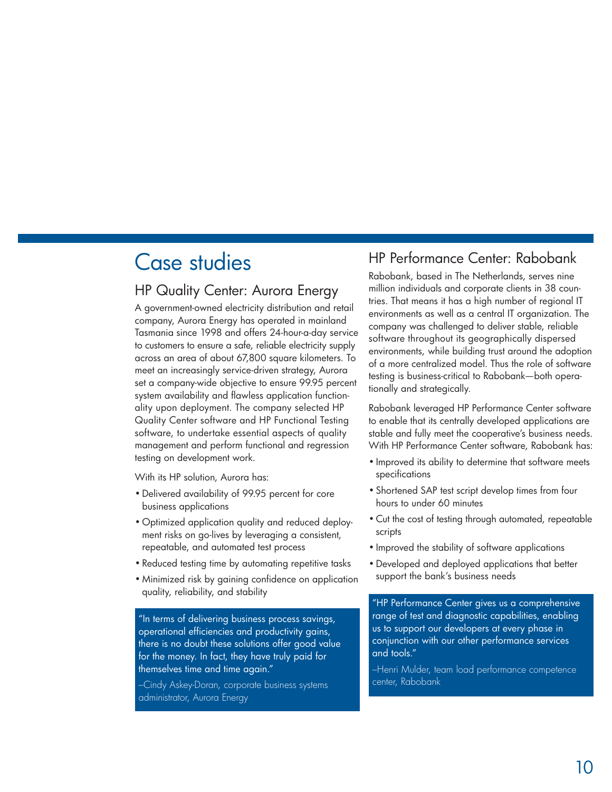## Case studies

### HP Quality Center: Aurora Energy

A government-owned electricity distribution and retail company, Aurora Energy has operated in mainland Tasmania since 1998 and offers 24-hour-a-day service to customers to ensure a safe, reliable electricity supply across an area of about 67,800 square kilometers. To meet an increasingly service-driven strategy, Aurora set a company-wide objective to ensure 99.95 percent system availability and flawless application functionality upon deployment. The company selected HP Quality Center software and HP Functional Testing software, to undertake essential aspects of quality management and perform functional and regression testing on development work.

With its HP solution, Aurora has:

- • Delivered availability of 99.95 percent for core business applications
- • Optimized application quality and reduced deployment risks on go-lives by leveraging a consistent, repeatable, and automated test process
- Reduced testing time by automating repetitive tasks
- • Minimized risk by gaining confidence on application quality, reliability, and stability

"In terms of delivering business process savings, operational efficiencies and productivity gains, there is no doubt these solutions offer good value for the money. In fact, they have truly paid for themselves time and time again."

–Cindy Askey-Doran, corporate business systems administrator, Aurora Energy

### HP Performance Center: Rabobank

Rabobank, based in The Netherlands, serves nine million individuals and corporate clients in 38 countries. That means it has a high number of regional IT environments as well as a central IT organization. The company was challenged to deliver stable, reliable software throughout its geographically dispersed environments, while building trust around the adoption of a more centralized model. Thus the role of software testing is business-critical to Rabobank—both operationally and strategically.

Rabobank leveraged HP Performance Center software to enable that its centrally developed applications are stable and fully meet the cooperative's business needs. With HP Performance Center software, Rabobank has:

- • Improved its ability to determine that software meets specifications
- Shortened SAP test script develop times from four hours to under 60 minutes
- • Cut the cost of testing through automated, repeatable scripts
- Improved the stability of software applications
- • Developed and deployed applications that better support the bank's business needs

"HP Performance Center gives us a comprehensive range of test and diagnostic capabilities, enabling us to support our developers at every phase in conjunction with our other performance services and tools."

–Henri Mulder, team load performance competence center, Rabobank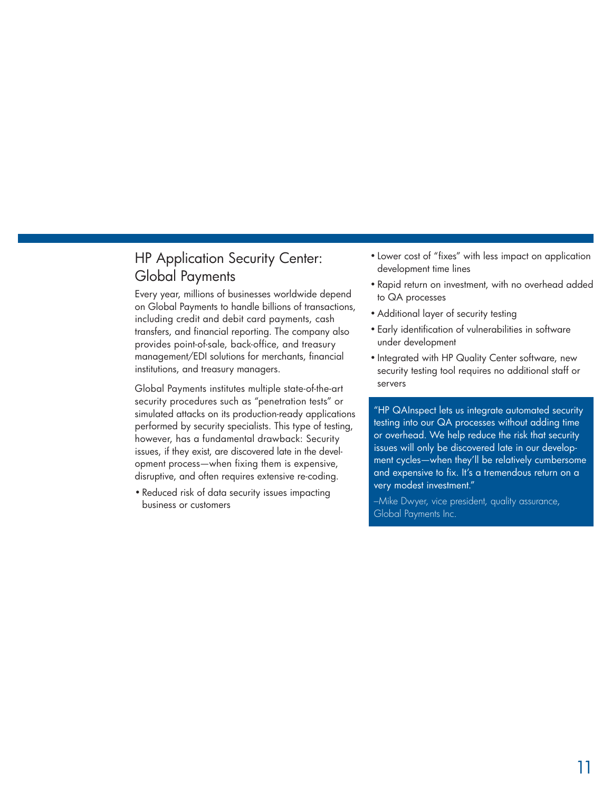### HP Application Security Center: Global Payments

Every year, millions of businesses worldwide depend on Global Payments to handle billions of transactions, including credit and debit card payments, cash transfers, and financial reporting. The company also provides point-of-sale, back-office, and treasury management/EDI solutions for merchants, financial institutions, and treasury managers.

Global Payments institutes multiple state-of-the-art security procedures such as "penetration tests" or simulated attacks on its production-ready applications performed by security specialists. This type of testing, however, has a fundamental drawback: Security issues, if they exist, are discovered late in the development process—when fixing them is expensive, disruptive, and often requires extensive re-coding.

• Reduced risk of data security issues impacting business or customers

- Lower cost of "fixes" with less impact on application development time lines
- • Rapid return on investment, with no overhead added to QA processes
- Additional layer of security testing
- • Early identification of vulnerabilities in software under development
- Integrated with HP Quality Center software, new security testing tool requires no additional staff or servers

"HP QAInspect lets us integrate automated security testing into our QA processes without adding time or overhead. We help reduce the risk that security issues will only be discovered late in our development cycles—when they'll be relatively cumbersome and expensive to fix. It's a tremendous return on a very modest investment."

–Mike Dwyer, vice president, quality assurance, Global Payments Inc.